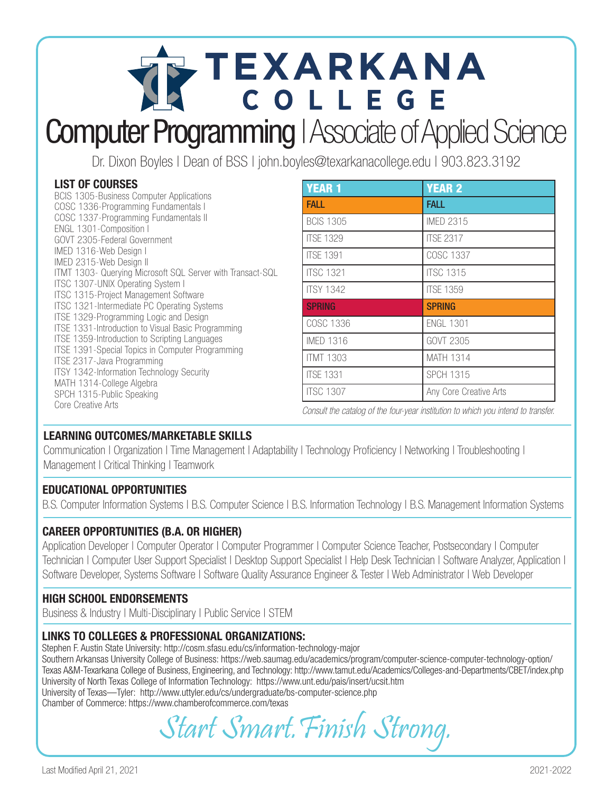# TEXARKANA **Computer Programming | Associate of Applied Science**

Dr. Dixon Boyles | Dean of BSS | john.boyles@texarkanacollege.edu | 903.823.3192

#### LIST OF COURSES

| <b>BCIS 1305-Business Computer Applications</b>            |
|------------------------------------------------------------|
| COSC 1336-Programming Fundamentals I                       |
| COSC 1337-Programming Fundamentals II                      |
| ENGL 1301-Composition I                                    |
| GOVT 2305-Federal Government                               |
| IMED 1316-Web Design I                                     |
| IMED 2315-Web Design II                                    |
| ITMT 1303- Querying Microsoft SQL Server with Transact-SQL |
| ITSC 1307-UNIX Operating System I                          |
| <b>ITSC 1315-Project Management Software</b>               |
| ITSC 1321-Intermediate PC Operating Systems                |
| ITSE 1329-Programming Logic and Design                     |
| ITSE 1331-Introduction to Visual Basic Programming         |
| ITSE 1359-Introduction to Scripting Languages              |
| ITSE 1391-Special Topics in Computer Programming           |
| ITSE 2317-Java Programming                                 |
| ITSY 1342-Information Technology Security                  |
| MATH 1314-College Algebra                                  |
| SPCH 1315-Public Speaking                                  |
| Core Creative Arts                                         |

| <b>YEAR 1</b>    | <b>YEAR 2</b>          |
|------------------|------------------------|
| <b>FALL</b>      | <b>FALL</b>            |
| <b>BCIS 1305</b> | <b>IMED 2315</b>       |
| <b>ITSE 1329</b> | <b>ITSE 2317</b>       |
| <b>ITSF 1391</b> | COSC 1337              |
| <b>ITSC 1321</b> | <b>ITSC 1315</b>       |
| <b>ITSY 1342</b> | <b>ITSE 1359</b>       |
| <b>SPRING</b>    | <b>SPRING</b>          |
| COSC 1336        | <b>ENGL 1301</b>       |
| <b>IMED 1316</b> | GOVT 2305              |
| <b>ITMT 1303</b> | <b>MATH 1314</b>       |
| <b>ITSE 1331</b> | <b>SPCH 1315</b>       |
| <b>ITSC 1307</b> | Any Core Creative Arts |

Consult the catalog of the four-year institution to which you intend to transfer.

# LEARNING OUTCOMES/MARKETABLE SKILLS

Communication | Organization | Time Management | Adaptability | Technology Proficiency | Networking | Troubleshooting | Management | Critical Thinking | Teamwork

#### EDUCATIONAL OPPORTUNITIES

B.S. Computer Information Systems | B.S. Computer Science | B.S. Information Technology | B.S. Management Information Systems

# CAREER OPPORTUNITIES (B.A. OR HIGHER)

Application Developer | Computer Operator | Computer Programmer | Computer Science Teacher, Postsecondary | Computer Technician | Computer User Support Specialist | Desktop Support Specialist | Help Desk Technician | Software Analyzer, Application | Software Developer, Systems Software | Software Quality Assurance Engineer & Tester | Web Administrator | Web Developer

# HIGH SCHOOL ENDORSEMENTS

Business & Industry | Multi-Disciplinary | Public Service | STEM

#### LINKS TO COLLEGES & PROFESSIONAL ORGANIZATIONS:

Stephen F. Austin State University: http://cosm.sfasu.edu/cs/information-technology-major Southern Arkansas University College of Business: https://web.saumag.edu/academics/program/computer-science-computer-technology-option/ Texas A&M-Texarkana College of Business, Engineering, and Technology: http://www.tamut.edu/Academics/Colleges-and-Departments/CBET/index.php University of North Texas College of Information Technology: https://www.unt.edu/pais/insert/ucsit.htm University of Texas—Tyler: http://www.uttyler.edu/cs/undergraduate/bs-computer-science.php Chamber of Commerce: https://www.chamberofcommerce.com/texas

Start Smart.Finish Strong.